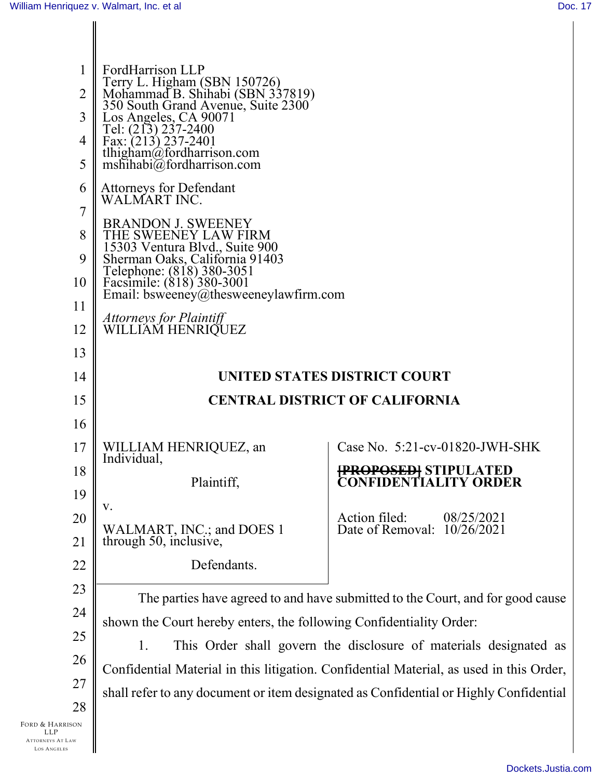| 1<br>$\overline{2}$<br>3<br>4<br>5<br>6                                        | FordHarrison LLP<br>Terry L. Higham (SBN 150726)<br>Mohammad B. Shihabi (SBN 337819)<br>350 South Grand Avenue, Suite 2300<br>Tel: (213) 237-2400<br>Fax: (213) 237-2401<br>tlhigham@fordharrison.com<br>mshihabi@fordharrison.com<br><b>Attorneys for Defendant</b> |                                                                                         |
|--------------------------------------------------------------------------------|----------------------------------------------------------------------------------------------------------------------------------------------------------------------------------------------------------------------------------------------------------------------|-----------------------------------------------------------------------------------------|
| 7<br>8<br>9<br>10<br>11                                                        | WALMART INC.<br><b>BRANDON J. SWEENEY</b><br>THE SWEENEY LAW FIRM<br>15303 Ventura Blvd., Suite 900<br>Sherman Oaks, California 91403<br>Telephone: (818) 380-3051<br>Facsimile: (818) 380-3001<br>Email: bsweeney@thesweeneylawfirm.com                             |                                                                                         |
| 12                                                                             | Attorneys for Plaintiff<br>WILLIAM HENRIQUEZ                                                                                                                                                                                                                         |                                                                                         |
| 13                                                                             |                                                                                                                                                                                                                                                                      |                                                                                         |
| 14                                                                             |                                                                                                                                                                                                                                                                      | UNITED STATES DISTRICT COURT                                                            |
| 15                                                                             |                                                                                                                                                                                                                                                                      | <b>CENTRAL DISTRICT OF CALIFORNIA</b>                                                   |
| 16                                                                             |                                                                                                                                                                                                                                                                      |                                                                                         |
| 17                                                                             | WILLIAM HENRIQUEZ, an<br>Individual,                                                                                                                                                                                                                                 | Case No. $5:21$ -cv-01820-JWH-SHK                                                       |
| 18<br>19                                                                       | Plaintiff,                                                                                                                                                                                                                                                           | <del>[PROPOSED]</del> STIPULATED<br>CONFIDENTIALITY ORI                                 |
| 20                                                                             | V.                                                                                                                                                                                                                                                                   | Action filed:<br>08/25/2021                                                             |
| 21                                                                             | WALMART, INC.; and DOES 1<br>through 50, inclusive,                                                                                                                                                                                                                  | Date of Removal: 10/26/2021                                                             |
| 22                                                                             | Defendants.                                                                                                                                                                                                                                                          |                                                                                         |
| 23                                                                             |                                                                                                                                                                                                                                                                      |                                                                                         |
| 24                                                                             |                                                                                                                                                                                                                                                                      | The parties have agreed to and have submitted to the Court, and for good cause          |
| 25                                                                             | shown the Court hereby enters, the following Confidentiality Order:<br>1.                                                                                                                                                                                            | This Order shall govern the disclosure of materials designated as                       |
| 26                                                                             |                                                                                                                                                                                                                                                                      | Confidential Material in this litigation. Confidential Material, as used in this Order, |
| 27                                                                             |                                                                                                                                                                                                                                                                      | shall refer to any document or item designated as Confidential or Highly Confidential   |
| 28                                                                             |                                                                                                                                                                                                                                                                      |                                                                                         |
| Ford & Harrison<br><b>LLP</b><br><b>ATTORNEYS AT LAW</b><br><b>LOS ANGELES</b> |                                                                                                                                                                                                                                                                      |                                                                                         |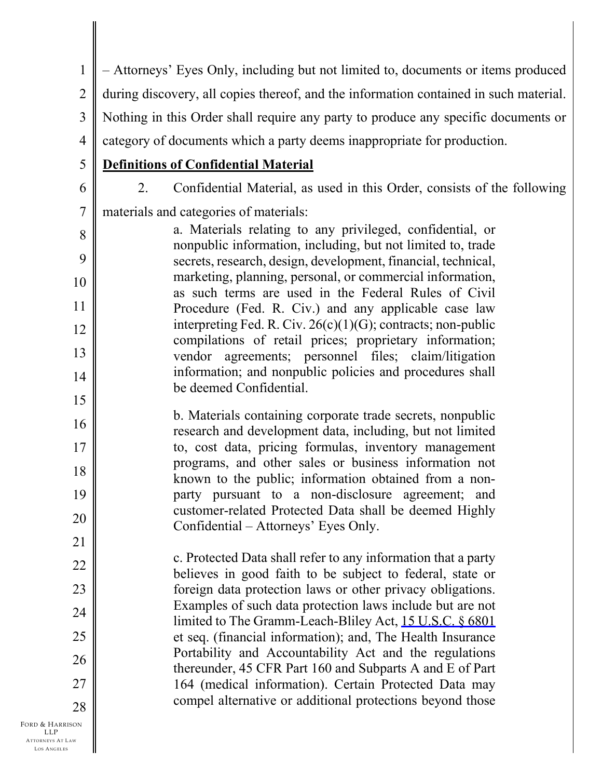1 2 3 4 5 6 7 8 9 10 11 12 13 14 15 16 17 18 19 20 21 22 23 – Attorneys' Eyes Only, including but not limited to, documents or items produced during discovery, all copies thereof, and the information contained in such material. Nothing in this Order shall require any party to produce any specific documents or category of documents which a party deems inappropriate for production. **Definitions of Confidential Material** 2. Confidential Material, as used in this Order, consists of the following materials and categories of materials: a. Materials relating to any privileged, confidential, or nonpublic information, including, but not limited to, trade secrets, research, design, development, financial, technical, marketing, planning, personal, or commercial information, as such terms are used in the Federal Rules of Civil Procedure (Fed. R. Civ.) and any applicable case law interpreting Fed. R. Civ. 26(c)(1)(G); contracts; non-public compilations of retail prices; proprietary information; vendor agreements; personnel files; claim/litigation information; and nonpublic policies and procedures shall be deemed Confidential. b. Materials containing corporate trade secrets, nonpublic research and development data, including, but not limited to, cost data, pricing formulas, inventory management programs, and other sales or business information not known to the public; information obtained from a nonparty pursuant to a non-disclosure agreement; and customer-related Protected Data shall be deemed Highly Confidential – Attorneys' Eyes Only. c. Protected Data shall refer to any information that a party believes in good faith to be subject to federal, state or foreign data protection laws or other privacy obligations. Examples of such data protection laws include but are not

> limited to The Gramm-Leach-Bliley Act, [15 U.S.C. § 6801](https://www.westlaw.com/Link/Document/FullText?rs=USCLink&vr=3.0&findType=Y&cite=15%2B%2Bu%2Es%2Ec%2E%2B%2B%2B%2B6801&clientid=USCourts) et seq. (financial information); and, The Health Insurance Portability and Accountability Act and the regulations thereunder, 45 CFR Part 160 and Subparts A and E of Part 164 (medical information). Certain Protected Data may compel alternative or additional protections beyond those

FORD & HARRISON LLP ATTORNEYS AT LAW LOS A NGELES 28

24

25

26

27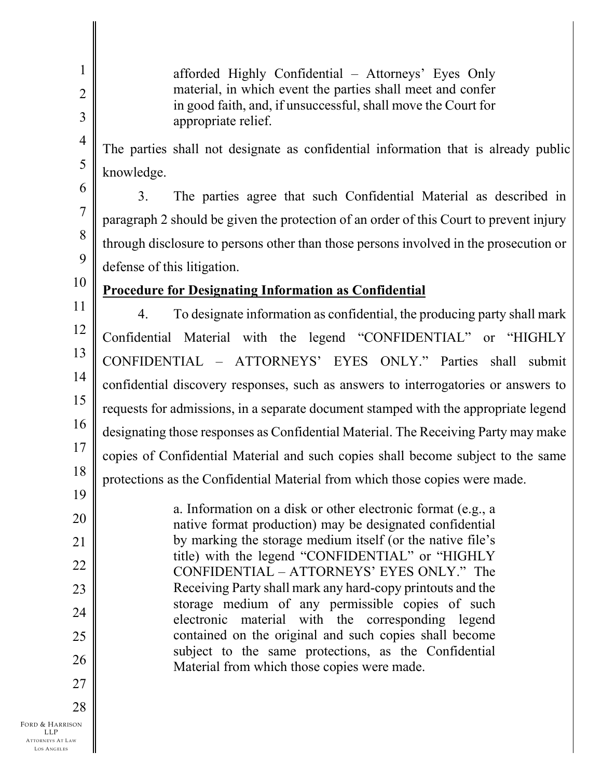afforded Highly Confidential – Attorneys' Eyes Only material, in which event the parties shall meet and confer in good faith, and, if unsuccessful, shall move the Court for appropriate relief.

The parties shall not designate as confidential information that is already public knowledge.

6 7

1

2

3

4

5

8

3. The parties agree that such Confidential Material as described in paragraph 2 should be given the protection of an order of this Court to prevent injury through disclosure to persons other than those persons involved in the prosecution or defense of this litigation.

10 11

12

13

14

15

16

17

18

19

20

21

22

23

24

25

26

27

9

# **Procedure for Designating Information as Confidential**

4. To designate information as confidential, the producing party shall mark Confidential Material with the legend "CONFIDENTIAL" or "HIGHLY CONFIDENTIAL – ATTORNEYS' EYES ONLY." Parties shall submit confidential discovery responses, such as answers to interrogatories or answers to requests for admissions, in a separate document stamped with the appropriate legend designating those responses as Confidential Material. The Receiving Party may make copies of Confidential Material and such copies shall become subject to the same protections as the Confidential Material from which those copies were made.

a. Information on a disk or other electronic format (e.g., a native format production) may be designated confidential by marking the storage medium itself (or the native file's title) with the legend "CONFIDENTIAL" or "HIGHLY CONFIDENTIAL – ATTORNEYS' EYES ONLY." The Receiving Party shall mark any hard-copy printouts and the storage medium of any permissible copies of such electronic material with the corresponding legend contained on the original and such copies shall become subject to the same protections, as the Confidential Material from which those copies were made.

FORD & HARRISON LLP ATTORNEYS AT LAW 28

LOS A NGELES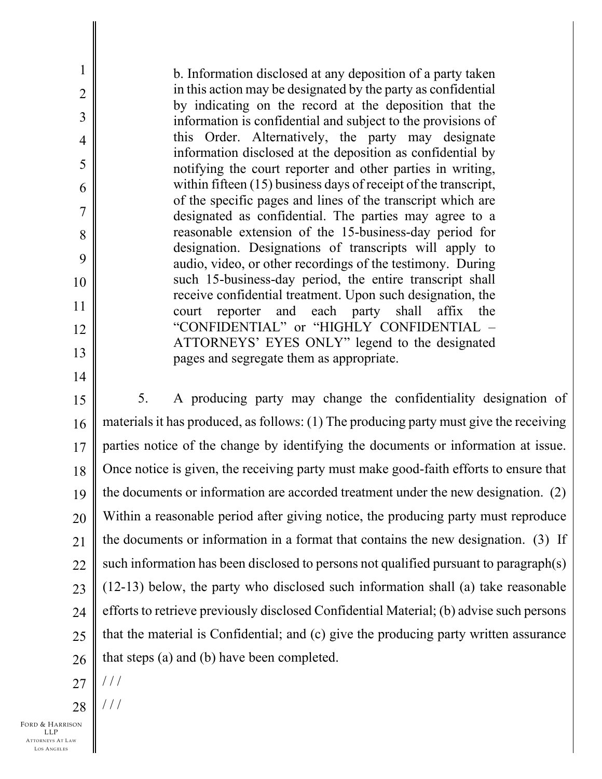b. Information disclosed at any deposition of a party taken in this action may be designated by the party as confidential by indicating on the record at the deposition that the information is confidential and subject to the provisions of this Order. Alternatively, the party may designate information disclosed at the deposition as confidential by notifying the court reporter and other parties in writing, within fifteen (15) business days of receipt of the transcript, of the specific pages and lines of the transcript which are designated as confidential. The parties may agree to a reasonable extension of the 15-business-day period for designation. Designations of transcripts will apply to audio, video, or other recordings of the testimony. During such 15-business-day period, the entire transcript shall receive confidential treatment. Upon such designation, the court reporter and each party shall affix the "CONFIDENTIAL" or "HIGHLY CONFIDENTIAL – ATTORNEYS' EYES ONLY" legend to the designated pages and segregate them as appropriate.

14

1

2

3

4

5

6

7

8

9

10

11

12

13

15 16 17 18 19 20 21 22 23 24 25 26 5. A producing party may change the confidentiality designation of materials it has produced, as follows: (1) The producing party must give the receiving parties notice of the change by identifying the documents or information at issue. Once notice is given, the receiving party must make good-faith efforts to ensure that the documents or information are accorded treatment under the new designation. (2) Within a reasonable period after giving notice, the producing party must reproduce the documents or information in a format that contains the new designation. (3) If such information has been disclosed to persons not qualified pursuant to paragraph(s) (12-13) below, the party who disclosed such information shall (a) take reasonable efforts to retrieve previously disclosed Confidential Material; (b) advise such persons that the material is Confidential; and (c) give the producing party written assurance that steps (a) and (b) have been completed.

- 27 / / /
- 28 / / /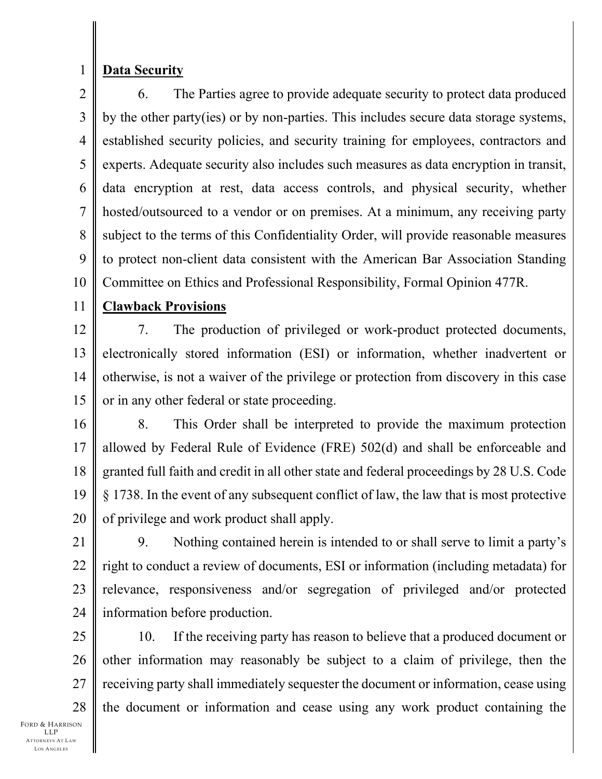1

## **Data Security**

2 3 4 5 6 7 8 9 10 6. The Parties agree to provide adequate security to protect data produced by the other party(ies) or by non-parties. This includes secure data storage systems, established security policies, and security training for employees, contractors and experts. Adequate security also includes such measures as data encryption in transit, data encryption at rest, data access controls, and physical security, whether hosted/outsourced to a vendor or on premises. At a minimum, any receiving party subject to the terms of this Confidentiality Order, will provide reasonable measures to protect non-client data consistent with the American Bar Association Standing Committee on Ethics and Professional Responsibility, Formal Opinion 477R.

#### 11 **Clawback Provisions**

12 13 14 15 7. The production of privileged or work-product protected documents, electronically stored information (ESI) or information, whether inadvertent or otherwise, is not a waiver of the privilege or protection from discovery in this case or in any other federal or state proceeding.

16

17 18 19 20 8. This Order shall be interpreted to provide the maximum protection allowed by Federal Rule of Evidence (FRE) 502(d) and shall be enforceable and granted full faith and credit in all other state and federal proceedings by 28 U.S. Code § 1738. In the event of any subsequent conflict of law, the law that is most protective of privilege and work product shall apply.

21 22 23 24 9. Nothing contained herein is intended to or shall serve to limit a party's right to conduct a review of documents, ESI or information (including metadata) for relevance, responsiveness and/or segregation of privileged and/or protected information before production.

25 26 27 28 10. If the receiving party has reason to believe that a produced document or other information may reasonably be subject to a claim of privilege, then the receiving party shall immediately sequester the document or information, cease using the document or information and cease using any work product containing the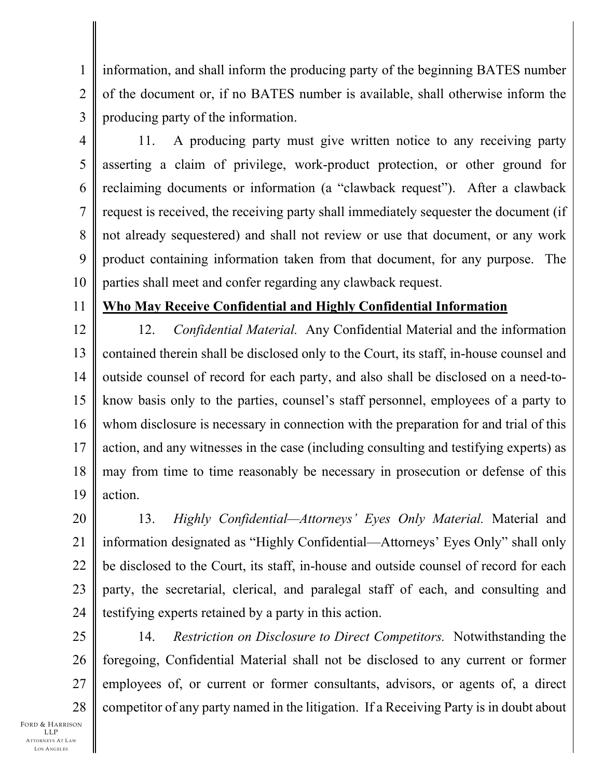1 2 information, and shall inform the producing party of the beginning BATES number of the document or, if no BATES number is available, shall otherwise inform the producing party of the information.

3

4 5 6 7 8 9 10 11. A producing party must give written notice to any receiving party asserting a claim of privilege, work-product protection, or other ground for reclaiming documents or information (a "clawback request"). After a clawback request is received, the receiving party shall immediately sequester the document (if not already sequestered) and shall not review or use that document, or any work product containing information taken from that document, for any purpose. The parties shall meet and confer regarding any clawback request.

11

### **Who May Receive Confidential and Highly Confidential Information**

12 13 14 15 16 17 18 19 12. *Confidential Material.* Any Confidential Material and the information contained therein shall be disclosed only to the Court, its staff, in-house counsel and outside counsel of record for each party, and also shall be disclosed on a need-toknow basis only to the parties, counsel's staff personnel, employees of a party to whom disclosure is necessary in connection with the preparation for and trial of this action, and any witnesses in the case (including consulting and testifying experts) as may from time to time reasonably be necessary in prosecution or defense of this action.

20 21 22 23 24 13. *Highly Confidential—Attorneys' Eyes Only Material.* Material and information designated as "Highly Confidential—Attorneys' Eyes Only" shall only be disclosed to the Court, its staff, in-house and outside counsel of record for each party, the secretarial, clerical, and paralegal staff of each, and consulting and testifying experts retained by a party in this action.

25 26 27 28 14. *Restriction on Disclosure to Direct Competitors.* Notwithstanding the foregoing, Confidential Material shall not be disclosed to any current or former employees of, or current or former consultants, advisors, or agents of, a direct competitor of any party named in the litigation. If a Receiving Party is in doubt about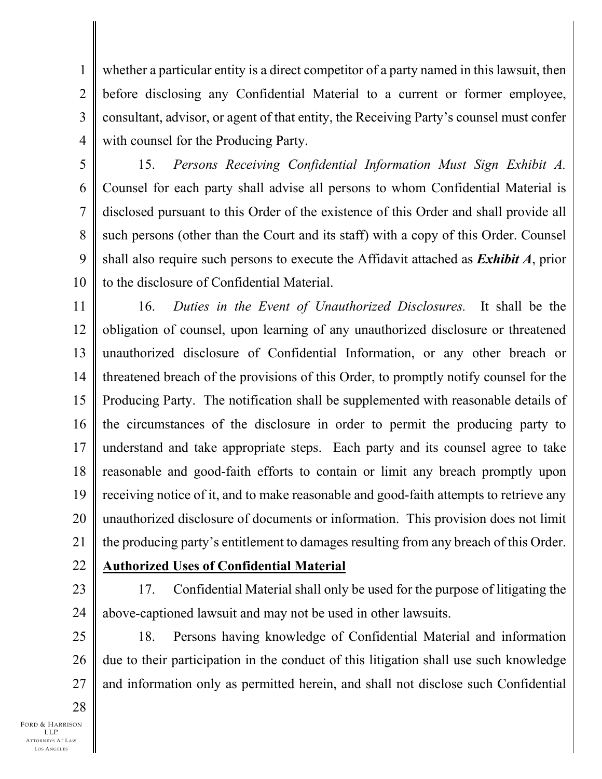2 3 4 whether a particular entity is a direct competitor of a party named in this lawsuit, then before disclosing any Confidential Material to a current or former employee, consultant, advisor, or agent of that entity, the Receiving Party's counsel must confer with counsel for the Producing Party.

5 6 7 8 9 10 15. *Persons Receiving Confidential Information Must Sign Exhibit A.* Counsel for each party shall advise all persons to whom Confidential Material is disclosed pursuant to this Order of the existence of this Order and shall provide all such persons (other than the Court and its staff) with a copy of this Order. Counsel shall also require such persons to execute the Affidavit attached as *Exhibit A*, prior to the disclosure of Confidential Material.

11 12 13 14 15 16 17 18 19 20 21 16. *Duties in the Event of Unauthorized Disclosures.* It shall be the obligation of counsel, upon learning of any unauthorized disclosure or threatened unauthorized disclosure of Confidential Information, or any other breach or threatened breach of the provisions of this Order, to promptly notify counsel for the Producing Party. The notification shall be supplemented with reasonable details of the circumstances of the disclosure in order to permit the producing party to understand and take appropriate steps. Each party and its counsel agree to take reasonable and good-faith efforts to contain or limit any breach promptly upon receiving notice of it, and to make reasonable and good-faith attempts to retrieve any unauthorized disclosure of documents or information. This provision does not limit the producing party's entitlement to damages resulting from any breach of this Order.

- 22 **Authorized Uses of Confidential Material**
- 23

1

24 17. Confidential Material shall only be used for the purpose of litigating the above-captioned lawsuit and may not be used in other lawsuits.

25 26 27 18. Persons having knowledge of Confidential Material and information due to their participation in the conduct of this litigation shall use such knowledge and information only as permitted herein, and shall not disclose such Confidential

28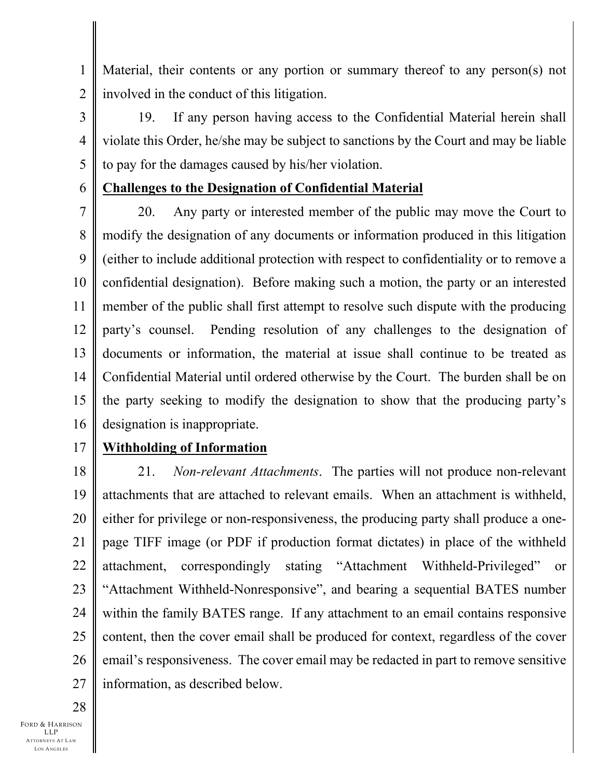Material, their contents or any portion or summary thereof to any person(s) not involved in the conduct of this litigation.

3 4 5 19. If any person having access to the Confidential Material herein shall violate this Order, he/she may be subject to sanctions by the Court and may be liable to pay for the damages caused by his/her violation.

### **Challenges to the Designation of Confidential Material**

7 8 9 10 11 12 13 14 15 16 20. Any party or interested member of the public may move the Court to modify the designation of any documents or information produced in this litigation (either to include additional protection with respect to confidentiality or to remove a confidential designation). Before making such a motion, the party or an interested member of the public shall first attempt to resolve such dispute with the producing party's counsel. Pending resolution of any challenges to the designation of documents or information, the material at issue shall continue to be treated as Confidential Material until ordered otherwise by the Court. The burden shall be on the party seeking to modify the designation to show that the producing party's designation is inappropriate.

#### 17 **Withholding of Information**

18 19 20 21 22 23 24 25 26 27 21.*Non-relevant Attachments*. The parties will not produce non-relevant attachments that are attached to relevant emails. When an attachment is withheld, either for privilege or non-responsiveness, the producing party shall produce a onepage TIFF image (or PDF if production format dictates) in place of the withheld attachment, correspondingly stating "Attachment Withheld-Privileged" or "Attachment Withheld-Nonresponsive", and bearing a sequential BATES number within the family BATES range. If any attachment to an email contains responsive content, then the cover email shall be produced for context, regardless of the cover email's responsiveness. The cover email may be redacted in part to remove sensitive information, as described below.

28

1

2

6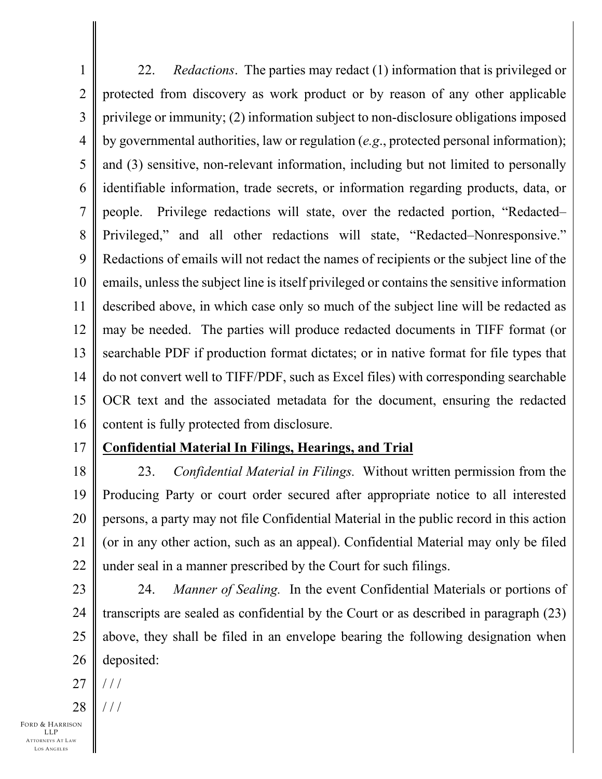1 2 3 4 5 6 7 8 9 10 11 12 13 14 15 16 22. *Redactions*.The parties may redact (1) information that is privileged or protected from discovery as work product or by reason of any other applicable privilege or immunity; (2) information subject to non-disclosure obligations imposed by governmental authorities, law or regulation (*e.g*., protected personal information); and (3) sensitive, non-relevant information, including but not limited to personally identifiable information, trade secrets, or information regarding products, data, or people. Privilege redactions will state, over the redacted portion, "Redacted– Privileged," and all other redactions will state, "Redacted–Nonresponsive." Redactions of emails will not redact the names of recipients or the subject line of the emails, unless the subject line is itself privileged or contains the sensitive information described above, in which case only so much of the subject line will be redacted as may be needed. The parties will produce redacted documents in TIFF format (or searchable PDF if production format dictates; or in native format for file types that do not convert well to TIFF/PDF, such as Excel files) with corresponding searchable OCR text and the associated metadata for the document, ensuring the redacted content is fully protected from disclosure.

17

# **Confidential Material In Filings, Hearings, and Trial**

18 19 20 21 22 23. *Confidential Material in Filings.* Without written permission from the Producing Party or court order secured after appropriate notice to all interested persons, a party may not file Confidential Material in the public record in this action (or in any other action, such as an appeal). Confidential Material may only be filed under seal in a manner prescribed by the Court for such filings.

- 23 24 25 26 24. *Manner of Sealing.* In the event Confidential Materials or portions of transcripts are sealed as confidential by the Court or as described in paragraph (23) above, they shall be filed in an envelope bearing the following designation when deposited:
- 27  $//$
- 28  $/ /$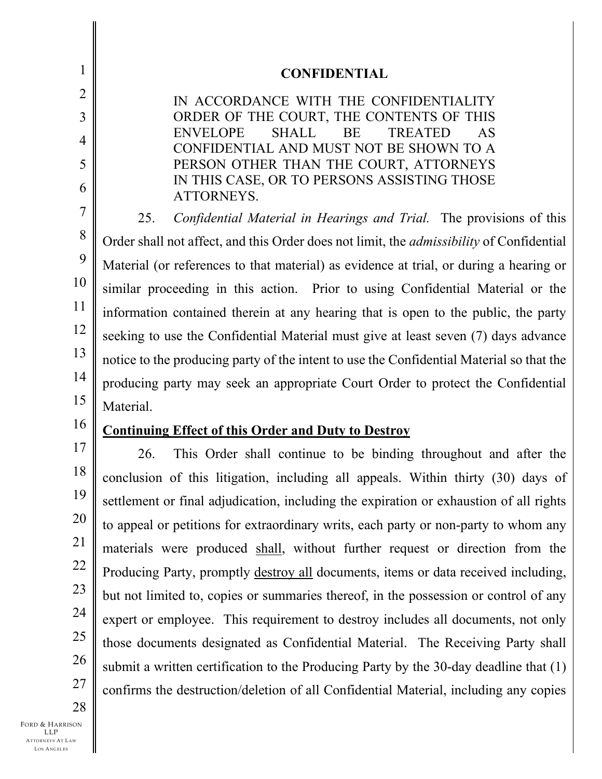| $\mathbf 1$           | <b>CONFIDENTIAL</b>                                                                                      |  |
|-----------------------|----------------------------------------------------------------------------------------------------------|--|
| $\overline{2}$        | IN ACCORDANCE WITH THE CONFIDENTIALITY                                                                   |  |
| 3                     | ORDER OF THE COURT, THE CONTENTS OF THIS                                                                 |  |
| 4                     | <b>ENVELOPE</b><br><b>SHALL</b><br>BE<br><b>TREATED</b><br>AS<br>CONFIDENTIAL AND MUST NOT BE SHOWN TO A |  |
| 5                     | PERSON OTHER THAN THE COURT, ATTORNEYS                                                                   |  |
| 6                     | IN THIS CASE, OR TO PERSONS ASSISTING THOSE<br>ATTORNEYS.                                                |  |
| 7                     | Confidential Material in Hearings and Trial. The provisions of this<br>25.                               |  |
| 8                     | Order shall not affect, and this Order does not limit, the <i>admissibility</i> of Confidential          |  |
| 9                     | Material (or references to that material) as evidence at trial, or during a hearing or                   |  |
| 10                    | similar proceeding in this action. Prior to using Confidential Material or the                           |  |
| 11                    | information contained therein at any hearing that is open to the public, the party                       |  |
| 12                    | seeking to use the Confidential Material must give at least seven (7) days advance                       |  |
| 13                    | notice to the producing party of the intent to use the Confidential Material so that the                 |  |
| 14                    | producing party may seek an appropriate Court Order to protect the Confidential                          |  |
| 15                    | Material.                                                                                                |  |
| 16                    | <b>Continuing Effect of this Order and Duty to Destroy</b>                                               |  |
| 17                    | This Order shall continue to be binding throughout and after the<br>26.                                  |  |
| 18                    | conclusion of this litigation, including all appeals. Within thirty (30) days of                         |  |
| 19                    |                                                                                                          |  |
|                       | settlement or final adjudication, including the expiration or exhaustion of all rights                   |  |
| 20                    | to appeal or petitions for extraordinary writs, each party or non-party to whom any                      |  |
| 21                    | materials were produced shall, without further request or direction from the                             |  |
| 22                    | Producing Party, promptly destroy all documents, items or data received including,                       |  |
| 23                    | but not limited to, copies or summaries thereof, in the possession or control of any                     |  |
| 24                    | expert or employee. This requirement to destroy includes all documents, not only                         |  |
| 25                    | those documents designated as Confidential Material. The Receiving Party shall                           |  |
| 26                    | submit a written certification to the Producing Party by the 30-day deadline that (1)                    |  |
| 27                    | confirms the destruction/deletion of all Confidential Material, including any copies                     |  |
| 28<br>Ford & Harrison |                                                                                                          |  |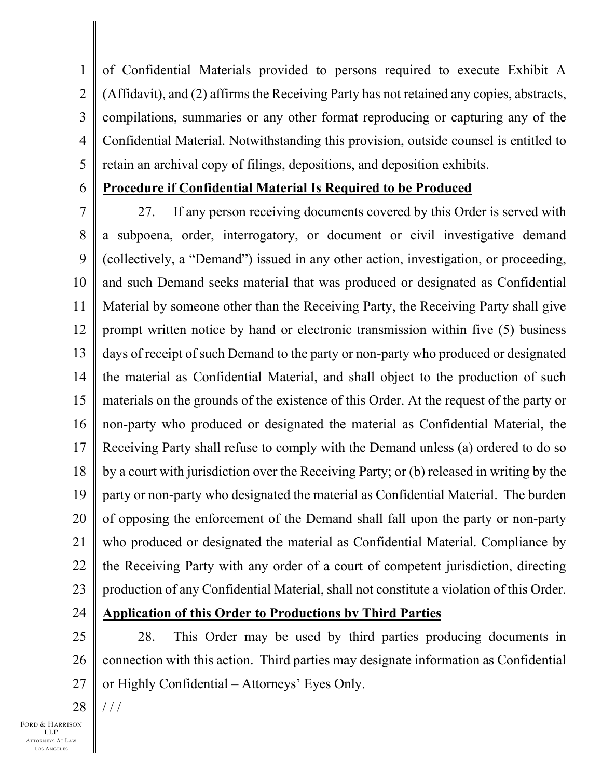1 2 3 4 5 of Confidential Materials provided to persons required to execute Exhibit A (Affidavit), and (2) affirms the Receiving Party has not retained any copies, abstracts, compilations, summaries or any other format reproducing or capturing any of the Confidential Material. Notwithstanding this provision, outside counsel is entitled to retain an archival copy of filings, depositions, and deposition exhibits.

6

## **Procedure if Confidential Material Is Required to be Produced**

7 8 9 10 11 12 13 14 15 16 17 18 19 20 21 22 23 27. If any person receiving documents covered by this Order is served with a subpoena, order, interrogatory, or document or civil investigative demand (collectively, a "Demand") issued in any other action, investigation, or proceeding, and such Demand seeks material that was produced or designated as Confidential Material by someone other than the Receiving Party, the Receiving Party shall give prompt written notice by hand or electronic transmission within five (5) business days of receipt of such Demand to the party or non-party who produced or designated the material as Confidential Material, and shall object to the production of such materials on the grounds of the existence of this Order. At the request of the party or non-party who produced or designated the material as Confidential Material, the Receiving Party shall refuse to comply with the Demand unless (a) ordered to do so by a court with jurisdiction over the Receiving Party; or (b) released in writing by the party or non-party who designated the material as Confidential Material. The burden of opposing the enforcement of the Demand shall fall upon the party or non-party who produced or designated the material as Confidential Material. Compliance by the Receiving Party with any order of a court of competent jurisdiction, directing production of any Confidential Material, shall not constitute a violation of this Order.

24

# **Application of this Order to Productions by Third Parties**

25 26 27 28. This Order may be used by third parties producing documents in connection with this action. Third parties may designate information as Confidential or Highly Confidential – Attorneys' Eyes Only.

28  $//$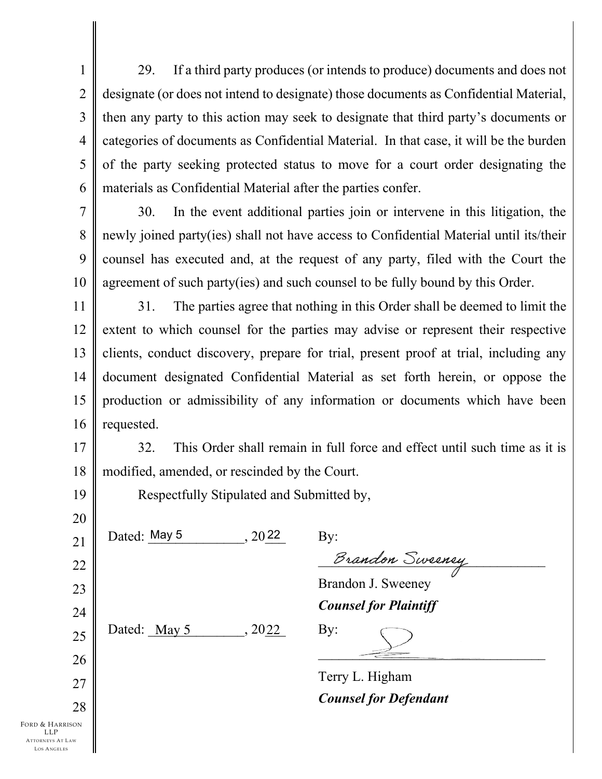1 2 3 4 5 6 29. If a third party produces (or intends to produce) documents and does not designate (or does not intend to designate) those documents as Confidential Material, then any party to this action may seek to designate that third party's documents or categories of documents as Confidential Material. In that case, it will be the burden of the party seeking protected status to move for a court order designating the materials as Confidential Material after the parties confer.

7 8

9

10

30. In the event additional parties join or intervene in this litigation, the newly joined party(ies) shall not have access to Confidential Material until its/their counsel has executed and, at the request of any party, filed with the Court the agreement of such party(ies) and such counsel to be fully bound by this Order.

11 12 13 14 15 16 31. The parties agree that nothing in this Order shall be deemed to limit the extent to which counsel for the parties may advise or represent their respective clients, conduct discovery, prepare for trial, present proof at trial, including any document designated Confidential Material as set forth herein, or oppose the production or admissibility of any information or documents which have been requested.

17 18 32. This Order shall remain in full force and effect until such time as it is modified, amended, or rescinded by the Court.

Respectfully Stipulated and Submitted by,

25

26

27

28

19

20

FORD & HARRISON LLP ATTORNEYS AT LAW LOS A NGELES

 $, 2022$ 

Dated: May 5  $.2022 \text{ Bv}$ :

Brandon Sweeney

Brandon J. Sweeney *Counsel for Plaintiff*

Dated:  $\frac{\text{May } 5}{\text{May } 5}$ ,  $20\underline{22}$  By:

 $\frac{2}{\sqrt{2}}$ 

Terry L. Higham *Counsel for Defendant*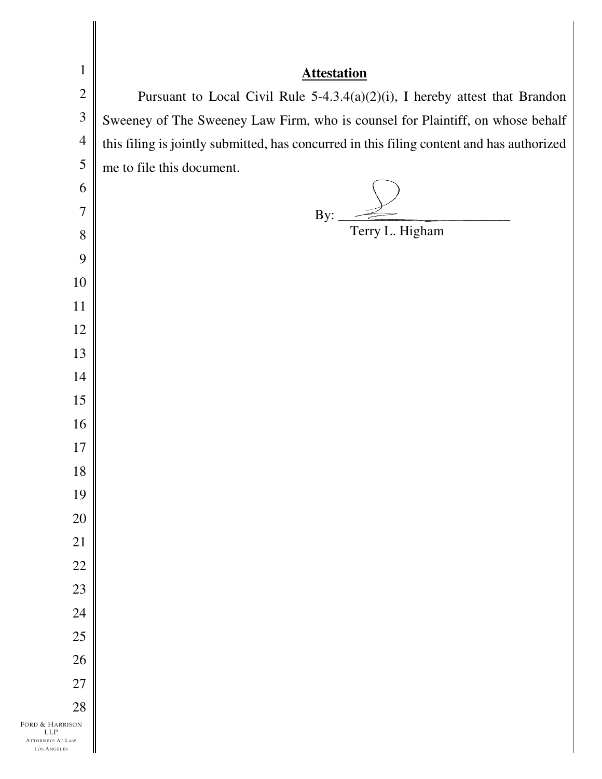| $\mathbf{1}$                           | <b>Attestation</b>                                                                        |
|----------------------------------------|-------------------------------------------------------------------------------------------|
| $\mathbf{2}$                           | Pursuant to Local Civil Rule 5-4.3.4(a)(2)(i), I hereby attest that Brandon               |
| $\overline{3}$                         | Sweeney of The Sweeney Law Firm, who is counsel for Plaintiff, on whose behalf            |
| $\overline{4}$                         | this filing is jointly submitted, has concurred in this filing content and has authorized |
| 5                                      | me to file this document.                                                                 |
| 6                                      |                                                                                           |
| 7                                      | By:                                                                                       |
| 8                                      | Terry L. Higham                                                                           |
| 9                                      |                                                                                           |
| 10                                     |                                                                                           |
| 11                                     |                                                                                           |
| 12                                     |                                                                                           |
| 13                                     |                                                                                           |
| 14                                     |                                                                                           |
| 15                                     |                                                                                           |
| 16                                     |                                                                                           |
| 17                                     |                                                                                           |
| 18                                     |                                                                                           |
| 19                                     |                                                                                           |
| $20\,$                                 |                                                                                           |
| 21                                     |                                                                                           |
| $22\,$                                 |                                                                                           |
| 23                                     |                                                                                           |
| 24                                     |                                                                                           |
| 25                                     |                                                                                           |
| 26                                     |                                                                                           |
| $27\,$                                 |                                                                                           |
| 28<br>FORD & HARRISON                  |                                                                                           |
| LLP<br>ATTORNEYS AT LAW<br>LOS ANGELES |                                                                                           |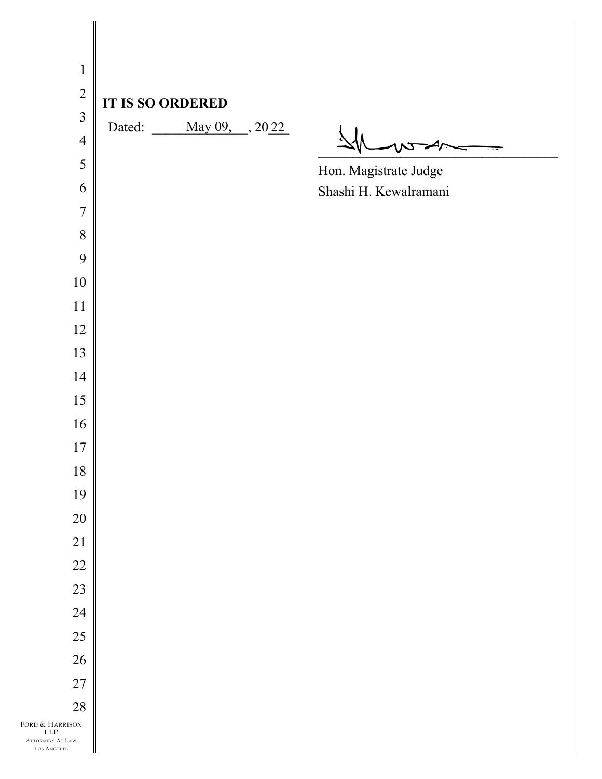| $\mathbf{1}$                                                      |                            |                       |
|-------------------------------------------------------------------|----------------------------|-----------------------|
| $\sqrt{2}$                                                        |                            |                       |
| $\overline{3}$                                                    | <b>IT IS SO ORDERED</b>    |                       |
| $\overline{4}$                                                    | Dated: <u>May 09, 2022</u> |                       |
| 5                                                                 |                            | Hon. Magistrate Judge |
| 6                                                                 |                            | Shashi H. Kewalramani |
| $\overline{7}$                                                    |                            |                       |
| $8\,$                                                             |                            |                       |
| 9                                                                 |                            |                       |
| $10\,$                                                            |                            |                       |
| 11                                                                |                            |                       |
| $12\,$                                                            |                            |                       |
| 13                                                                |                            |                       |
| 14                                                                |                            |                       |
| 15                                                                |                            |                       |
| 16                                                                |                            |                       |
| 17                                                                |                            |                       |
| $18\,$                                                            |                            |                       |
| 19                                                                |                            |                       |
| $20\,$                                                            |                            |                       |
| 21                                                                |                            |                       |
| $22\,$                                                            |                            |                       |
| 23                                                                |                            |                       |
| 24                                                                |                            |                       |
| 25                                                                |                            |                       |
| 26                                                                |                            |                       |
| 27                                                                |                            |                       |
| $28\,$                                                            |                            |                       |
| FORD & HARRISON<br>${\rm LLP}$<br>ATTORNEYS AT LAW<br>LOS ANGELES |                            |                       |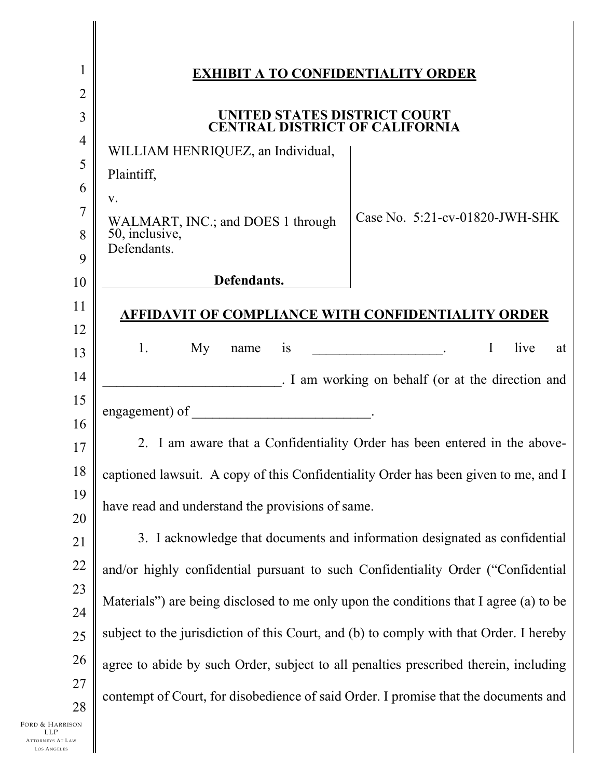| $\mathbf 1$                                                             | <b>EXHIBIT A TO CONFIDENTIALITY ORDER</b>                                              |  |  |
|-------------------------------------------------------------------------|----------------------------------------------------------------------------------------|--|--|
| 2                                                                       |                                                                                        |  |  |
| 3                                                                       | UNITED STATES DISTRICT COURT<br>CENTRAL DISTRICT OF CALIFORNIA                         |  |  |
| $\overline{4}$                                                          |                                                                                        |  |  |
| 5                                                                       | WILLIAM HENRIQUEZ, an Individual,<br>Plaintiff,                                        |  |  |
| 6                                                                       |                                                                                        |  |  |
| 7                                                                       | V.<br>Case No. 5:21-cv-01820-JWH-SHK                                                   |  |  |
| 8                                                                       | WALMART, INC.; and DOES 1 through<br>50, inclusive,                                    |  |  |
| 9                                                                       | Defendants.                                                                            |  |  |
| 10                                                                      | Defendants.                                                                            |  |  |
| 11                                                                      | AFFIDAVIT OF COMPLIANCE WITH CONFIDENTIALITY ORDER                                     |  |  |
| 12                                                                      |                                                                                        |  |  |
| 13                                                                      | $\bf{I}$<br>live<br>1.<br>My<br>is<br>at<br>name                                       |  |  |
| 14                                                                      | . I am working on behalf (or at the direction and                                      |  |  |
| 15                                                                      | engagement) of                                                                         |  |  |
| 16                                                                      |                                                                                        |  |  |
| 17                                                                      | 2. I am aware that a Confidentiality Order has been entered in the above-              |  |  |
| $18\,$                                                                  | captioned lawsuit. A copy of this Confidentiality Order has been given to me, and I    |  |  |
| 19                                                                      | have read and understand the provisions of same.                                       |  |  |
| 20                                                                      |                                                                                        |  |  |
| 21                                                                      | 3. I acknowledge that documents and information designated as confidential             |  |  |
| 22                                                                      | and/or highly confidential pursuant to such Confidentiality Order ("Confidential       |  |  |
| 23<br>24                                                                | Materials") are being disclosed to me only upon the conditions that I agree (a) to be  |  |  |
| 25                                                                      | subject to the jurisdiction of this Court, and (b) to comply with that Order. I hereby |  |  |
| 26                                                                      | agree to abide by such Order, subject to all penalties prescribed therein, including   |  |  |
| 27                                                                      |                                                                                        |  |  |
| 28                                                                      | contempt of Court, for disobedience of said Order. I promise that the documents and    |  |  |
| Ford & Harrison<br>LLP<br><b>ATTORNEYS AT LAW</b><br><b>LOS ANGELES</b> |                                                                                        |  |  |